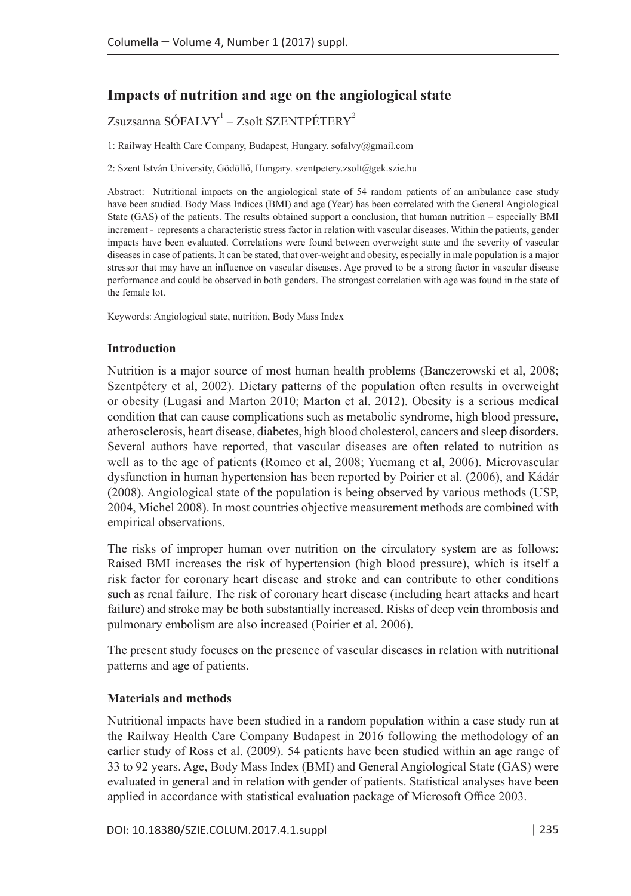# **Impacts of nutrition and age on the angiological state**

# $Z$ suzsanna SÓFALVY $^{\rm 1}$  –  $Z$ solt SZENTPÉTERY $^{\rm 2}$

1: Railway Health Care Company, Budapest, Hungary. sofalvy@gmail.com

2: Szent István University, Gödöllő, Hungary. szentpetery.zsolt@gek.szie.hu

Abstract: Nutritional impacts on the angiological state of 54 random patients of an ambulance case study have been studied. Body Mass Indices (BMI) and age (Year) has been correlated with the General Angiological State (GAS) of the patients. The results obtained support a conclusion, that human nutrition – especially BMI increment - represents a characteristic stress factor in relation with vascular diseases. Within the patients, gender impacts have been evaluated. Correlations were found between overweight state and the severity of vascular diseases in case of patients. It can be stated, that over-weight and obesity, especially in male population is a major stressor that may have an influence on vascular diseases. Age proved to be a strong factor in vascular disease performance and could be observed in both genders. The strongest correlation with age was found in the state of the female lot.

Keywords: Angiological state, nutrition, Body Mass Index

# **Introduction**

Nutrition is a major source of most human health problems (Banczerowski et al, 2008; Szentpétery et al, 2002). Dietary patterns of the population often results in overweight or obesity (Lugasi and Marton 2010; Marton et al. 2012). Obesity is a serious medical condition that can cause complications such as metabolic syndrome, high blood pressure, atherosclerosis, heart disease, diabetes, high blood cholesterol, cancers and sleep disorders. Several authors have reported, that vascular diseases are often related to nutrition as well as to the age of patients (Romeo et al, 2008; Yuemang et al, 2006). Microvascular dysfunction in human hypertension has been reported by Poirier et al. (2006), and Kádár (2008). Angiological state of the population is being observed by various methods (USP, 2004, Michel 2008). In most countries objective measurement methods are combined with empirical observations.

The risks of improper human over nutrition on the circulatory system are as follows: Raised BMI increases the risk of hypertension (high blood pressure), which is itself a risk factor for coronary heart disease and stroke and can contribute to other conditions such as renal failure. The risk of coronary heart disease (including heart attacks and heart failure) and stroke may be both substantially increased. Risks of deep vein thrombosis and pulmonary embolism are also increased (Poirier et al. 2006).

The present study focuses on the presence of vascular diseases in relation with nutritional patterns and age of patients.

# **Materials and methods**

Nutritional impacts have been studied in a random population within a case study run at the Railway Health Care Company Budapest in 2016 following the methodology of an earlier study of Ross et al. (2009). 54 patients have been studied within an age range of 33 to 92 years. Age, Body Mass Index (BMI) and General Angiological State (GAS) were evaluated in general and in relation with gender of patients. Statistical analyses have been applied in accordance with statistical evaluation package of Microsoft Office 2003.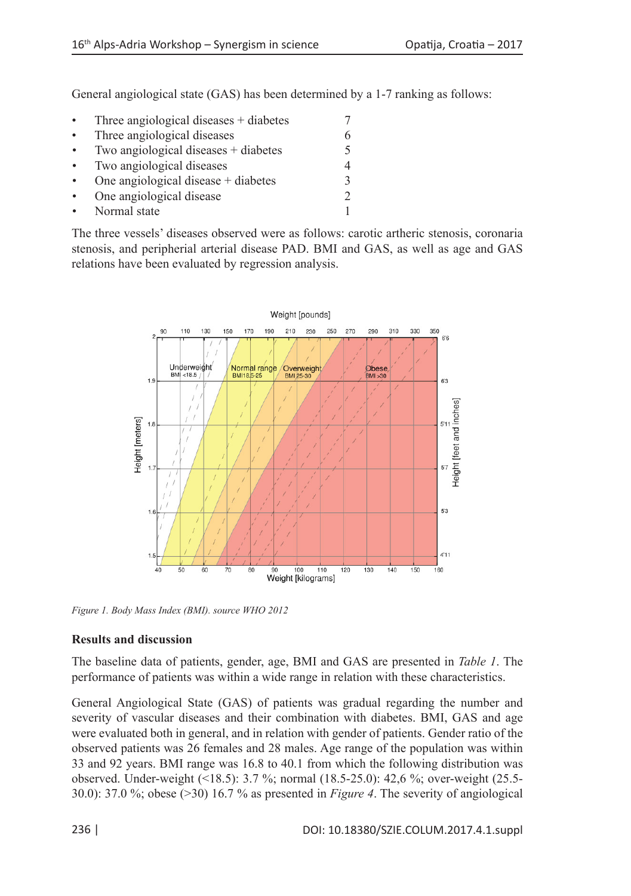General angiological state (GAS) has been determined by a 1-7 ranking as follows:

| $\bullet$ | Three angiological diseases $+$ diabetes |  |
|-----------|------------------------------------------|--|
| $\bullet$ | Three angiological diseases              |  |
| $\bullet$ | Two angiological diseases + diabetes     |  |
| $\bullet$ | Two angiological diseases                |  |
|           | One angiological disease $+$ diabetes    |  |
| $\bullet$ | One angiological disease                 |  |
|           | Normal state                             |  |

The three vessels' diseases observed were as follows: carotic artheric stenosis, coronaria stenosis, and peripherial arterial disease PAD. BMI and GAS, as well as age and GAS relations have been evaluated by regression analysis.



*Figure 1. Body Mass Index (BMI). source WHO 2012*

### **Results and discussion**

The baseline data of patients, gender, age, BMI and GAS are presented in *Table 1*. The performance of patients was within a wide range in relation with these characteristics.

General Angiological State (GAS) of patients was gradual regarding the number and severity of vascular diseases and their combination with diabetes. BMI, GAS and age were evaluated both in general, and in relation with gender of patients. Gender ratio of the observed patients was 26 females and 28 males. Age range of the population was within 33 and 92 years. BMI range was 16.8 to 40.1 from which the following distribution was observed. Under-weight (<18.5): 3.7 %; normal (18.5-25.0): 42,6 %; over-weight (25.5- 30.0): 37.0 %; obese (>30) 16.7 % as presented in *Figure 4*. The severity of angiological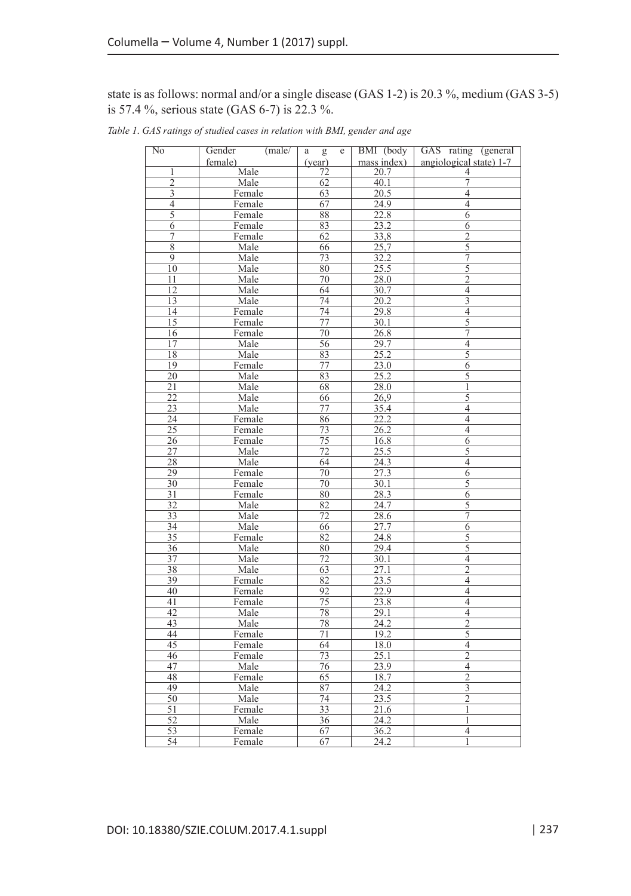# state is as follows: normal and/or a single disease (GAS 1-2) is 20.3 %, medium (GAS 3-5) is 57.4 %, serious state (GAS 6-7) is 22.3 %.

| mass index)<br>angiological state) 1-7<br>female)<br>(year)<br>Male<br>72<br>20.7<br>1<br>4<br>$\overline{2}$<br>62<br>40.1<br>7<br>Male<br>$\overline{\overline{3}}$<br>$\overline{20.5}$<br>$\overline{4}$<br>Female<br>63<br>$\overline{4}$<br>$\overline{4}$<br>67<br>24.9<br>Female<br>$\overline{5}$<br>22.8<br>$\overline{6}$<br>88<br>Female<br>$\overline{23.2}$<br>83<br>6<br>Female<br>6<br>33,8<br>62<br>7<br>$\overline{2}$<br>Female<br>$\overline{5}$<br>$\overline{8}$<br>66<br>25,7<br>Male<br>$\overline{7}$<br>$\overline{9}$<br>$\frac{32.2}{25.5}$<br>Male<br>$\overline{73}$<br>$\overline{5}$<br>$\overline{10}$<br>$\overline{80}$<br>Male<br>$\overline{2}$<br>28.0<br>11<br>Male<br>70<br>$\overline{12}$<br>$\overline{4}$<br>Male<br>64<br>30.7<br>$\overline{3}$<br>13<br>74<br>$\overline{20.2}$<br>Male<br>14<br>74<br>29.8<br>$\overline{4}$<br>Female<br>$\overline{5}$<br>$\overline{15}$<br>$\overline{77}$<br>30.1<br>Female<br>$\overline{7}$<br>$\overline{70}$<br>$\frac{26.8}{ }$<br>16<br>Female<br>29.7<br>$\overline{4}$<br>17<br>Male<br>56<br>$\overline{25.2}$<br>$\overline{5}$<br>$\overline{18}$<br>Male<br>83<br>$\overline{23.0}$<br>19<br>$\overline{77}$<br>$\overline{6}$<br>Female<br>25.2<br>5<br>20<br>Male<br>83<br>$\overline{21}$<br>Male<br>68<br>$\overline{28.0}$<br>$\mathbf{1}$<br>$\overline{5}$<br>$\overline{22}$<br>$\overline{66}$<br>$\overline{26,9}$<br>Male<br>$\overline{4}$<br>23<br>35.4<br>Male<br>77<br>$\overline{24}$<br>22.2<br>$\overline{4}$<br>Female<br>86<br>$\frac{26.2}{25.2}$<br>$\overline{4}$<br>$\overline{25}$<br>73<br>Female<br>26<br>75<br>16.8<br>$\overline{6}$<br>Female<br>$\overline{27}$<br>Male<br>$\overline{72}$<br>25.5<br>$\overline{5}$<br>$\overline{28}$<br>$\overline{24.3}$<br>$\overline{4}$<br>Male<br>64<br>27.3<br>29<br>$\overline{6}$<br>70<br>Female<br>$\overline{30}$<br>70<br>30.1<br>$\overline{5}$<br>Female<br>$\overline{31}$<br>80<br>$\overline{28.3}$<br>$\overline{6}$<br>Female<br>$\overline{32}$<br>24.7<br>$\overline{5}$<br>$\overline{82}$<br>Male<br>$\overline{7}$<br>$\overline{33}$<br>Male<br>72<br>28.6<br>$\overline{27.7}$<br>$\overline{6}$<br>34<br>Male<br>66<br>$\overline{35}$<br>82<br>24.8<br>$\overline{5}$<br>Female<br>$\frac{1}{5}$<br>$\overline{36}$<br>Male<br>80<br>29.4<br>$\overline{37}$<br>Male<br>72<br>30.1<br>$\overline{4}$<br>$\overline{63}$<br>$\overline{2}$<br>$\overline{38}$<br>27.1<br>Male<br>82<br>23.5<br>39<br>Female<br>$\overline{4}$<br>$\overline{22.9}$<br>40<br>Female<br>92<br>$\overline{4}$<br>$\overline{75}$<br>$\overline{4}$<br>$\overline{41}$<br>23.8<br>Female<br>42<br>78<br>$\overline{4}$<br>Male<br>29.1<br>$\overline{2}$<br>$\overline{43}$<br>$\overline{24.2}$<br>Male<br>78<br>$\frac{1}{5}$<br>19.2<br>44<br>71<br>Female<br>45<br>18.0<br>$\overline{4}$<br>Female<br>64<br>$\overline{2}$<br>$\overline{73}$<br>25.1<br>46<br>Female<br>$\overline{4}$<br>$\overline{76}$<br>$\overline{23.9}$<br>47<br>Male<br>$\overline{2}$<br>48<br>Female<br>65<br>18.7<br>49<br>$\overline{24.2}$<br>$\overline{3}$<br>Male<br>87<br>$\overline{2}$<br>$\overline{50}$<br>$\overline{74}$<br>$\overline{23.5}$<br>Male<br>$\overline{33}$<br>51<br>21.6<br>Female<br>1<br>$\overline{52}$<br>24.2<br>Male<br>36<br>1<br>$\overline{53}$<br>67<br>$\frac{36.2}{2}$<br>$\overline{4}$<br>Female<br>54<br>24.2<br>$\overline{1}$<br>67<br>Female | No | (male/<br>Gender | e<br>a<br>g | BMI (body | GAS rating (general |
|-----------------------------------------------------------------------------------------------------------------------------------------------------------------------------------------------------------------------------------------------------------------------------------------------------------------------------------------------------------------------------------------------------------------------------------------------------------------------------------------------------------------------------------------------------------------------------------------------------------------------------------------------------------------------------------------------------------------------------------------------------------------------------------------------------------------------------------------------------------------------------------------------------------------------------------------------------------------------------------------------------------------------------------------------------------------------------------------------------------------------------------------------------------------------------------------------------------------------------------------------------------------------------------------------------------------------------------------------------------------------------------------------------------------------------------------------------------------------------------------------------------------------------------------------------------------------------------------------------------------------------------------------------------------------------------------------------------------------------------------------------------------------------------------------------------------------------------------------------------------------------------------------------------------------------------------------------------------------------------------------------------------------------------------------------------------------------------------------------------------------------------------------------------------------------------------------------------------------------------------------------------------------------------------------------------------------------------------------------------------------------------------------------------------------------------------------------------------------------------------------------------------------------------------------------------------------------------------------------------------------------------------------------------------------------------------------------------------------------------------------------------------------------------------------------------------------------------------------------------------------------------------------------------------------------------------------------------------------------------------------------------------------------------------------------------------------------------------------------------------------------------------------------------------------------------------------------------------------------------------------------------------------------------------------------------------------------------------------------------------------------------------------------------------------------------------------------|----|------------------|-------------|-----------|---------------------|
|                                                                                                                                                                                                                                                                                                                                                                                                                                                                                                                                                                                                                                                                                                                                                                                                                                                                                                                                                                                                                                                                                                                                                                                                                                                                                                                                                                                                                                                                                                                                                                                                                                                                                                                                                                                                                                                                                                                                                                                                                                                                                                                                                                                                                                                                                                                                                                                                                                                                                                                                                                                                                                                                                                                                                                                                                                                                                                                                                                                                                                                                                                                                                                                                                                                                                                                                                                                                                                                     |    |                  |             |           |                     |
|                                                                                                                                                                                                                                                                                                                                                                                                                                                                                                                                                                                                                                                                                                                                                                                                                                                                                                                                                                                                                                                                                                                                                                                                                                                                                                                                                                                                                                                                                                                                                                                                                                                                                                                                                                                                                                                                                                                                                                                                                                                                                                                                                                                                                                                                                                                                                                                                                                                                                                                                                                                                                                                                                                                                                                                                                                                                                                                                                                                                                                                                                                                                                                                                                                                                                                                                                                                                                                                     |    |                  |             |           |                     |
|                                                                                                                                                                                                                                                                                                                                                                                                                                                                                                                                                                                                                                                                                                                                                                                                                                                                                                                                                                                                                                                                                                                                                                                                                                                                                                                                                                                                                                                                                                                                                                                                                                                                                                                                                                                                                                                                                                                                                                                                                                                                                                                                                                                                                                                                                                                                                                                                                                                                                                                                                                                                                                                                                                                                                                                                                                                                                                                                                                                                                                                                                                                                                                                                                                                                                                                                                                                                                                                     |    |                  |             |           |                     |
|                                                                                                                                                                                                                                                                                                                                                                                                                                                                                                                                                                                                                                                                                                                                                                                                                                                                                                                                                                                                                                                                                                                                                                                                                                                                                                                                                                                                                                                                                                                                                                                                                                                                                                                                                                                                                                                                                                                                                                                                                                                                                                                                                                                                                                                                                                                                                                                                                                                                                                                                                                                                                                                                                                                                                                                                                                                                                                                                                                                                                                                                                                                                                                                                                                                                                                                                                                                                                                                     |    |                  |             |           |                     |
|                                                                                                                                                                                                                                                                                                                                                                                                                                                                                                                                                                                                                                                                                                                                                                                                                                                                                                                                                                                                                                                                                                                                                                                                                                                                                                                                                                                                                                                                                                                                                                                                                                                                                                                                                                                                                                                                                                                                                                                                                                                                                                                                                                                                                                                                                                                                                                                                                                                                                                                                                                                                                                                                                                                                                                                                                                                                                                                                                                                                                                                                                                                                                                                                                                                                                                                                                                                                                                                     |    |                  |             |           |                     |
|                                                                                                                                                                                                                                                                                                                                                                                                                                                                                                                                                                                                                                                                                                                                                                                                                                                                                                                                                                                                                                                                                                                                                                                                                                                                                                                                                                                                                                                                                                                                                                                                                                                                                                                                                                                                                                                                                                                                                                                                                                                                                                                                                                                                                                                                                                                                                                                                                                                                                                                                                                                                                                                                                                                                                                                                                                                                                                                                                                                                                                                                                                                                                                                                                                                                                                                                                                                                                                                     |    |                  |             |           |                     |
|                                                                                                                                                                                                                                                                                                                                                                                                                                                                                                                                                                                                                                                                                                                                                                                                                                                                                                                                                                                                                                                                                                                                                                                                                                                                                                                                                                                                                                                                                                                                                                                                                                                                                                                                                                                                                                                                                                                                                                                                                                                                                                                                                                                                                                                                                                                                                                                                                                                                                                                                                                                                                                                                                                                                                                                                                                                                                                                                                                                                                                                                                                                                                                                                                                                                                                                                                                                                                                                     |    |                  |             |           |                     |
|                                                                                                                                                                                                                                                                                                                                                                                                                                                                                                                                                                                                                                                                                                                                                                                                                                                                                                                                                                                                                                                                                                                                                                                                                                                                                                                                                                                                                                                                                                                                                                                                                                                                                                                                                                                                                                                                                                                                                                                                                                                                                                                                                                                                                                                                                                                                                                                                                                                                                                                                                                                                                                                                                                                                                                                                                                                                                                                                                                                                                                                                                                                                                                                                                                                                                                                                                                                                                                                     |    |                  |             |           |                     |
|                                                                                                                                                                                                                                                                                                                                                                                                                                                                                                                                                                                                                                                                                                                                                                                                                                                                                                                                                                                                                                                                                                                                                                                                                                                                                                                                                                                                                                                                                                                                                                                                                                                                                                                                                                                                                                                                                                                                                                                                                                                                                                                                                                                                                                                                                                                                                                                                                                                                                                                                                                                                                                                                                                                                                                                                                                                                                                                                                                                                                                                                                                                                                                                                                                                                                                                                                                                                                                                     |    |                  |             |           |                     |
|                                                                                                                                                                                                                                                                                                                                                                                                                                                                                                                                                                                                                                                                                                                                                                                                                                                                                                                                                                                                                                                                                                                                                                                                                                                                                                                                                                                                                                                                                                                                                                                                                                                                                                                                                                                                                                                                                                                                                                                                                                                                                                                                                                                                                                                                                                                                                                                                                                                                                                                                                                                                                                                                                                                                                                                                                                                                                                                                                                                                                                                                                                                                                                                                                                                                                                                                                                                                                                                     |    |                  |             |           |                     |
|                                                                                                                                                                                                                                                                                                                                                                                                                                                                                                                                                                                                                                                                                                                                                                                                                                                                                                                                                                                                                                                                                                                                                                                                                                                                                                                                                                                                                                                                                                                                                                                                                                                                                                                                                                                                                                                                                                                                                                                                                                                                                                                                                                                                                                                                                                                                                                                                                                                                                                                                                                                                                                                                                                                                                                                                                                                                                                                                                                                                                                                                                                                                                                                                                                                                                                                                                                                                                                                     |    |                  |             |           |                     |
|                                                                                                                                                                                                                                                                                                                                                                                                                                                                                                                                                                                                                                                                                                                                                                                                                                                                                                                                                                                                                                                                                                                                                                                                                                                                                                                                                                                                                                                                                                                                                                                                                                                                                                                                                                                                                                                                                                                                                                                                                                                                                                                                                                                                                                                                                                                                                                                                                                                                                                                                                                                                                                                                                                                                                                                                                                                                                                                                                                                                                                                                                                                                                                                                                                                                                                                                                                                                                                                     |    |                  |             |           |                     |
|                                                                                                                                                                                                                                                                                                                                                                                                                                                                                                                                                                                                                                                                                                                                                                                                                                                                                                                                                                                                                                                                                                                                                                                                                                                                                                                                                                                                                                                                                                                                                                                                                                                                                                                                                                                                                                                                                                                                                                                                                                                                                                                                                                                                                                                                                                                                                                                                                                                                                                                                                                                                                                                                                                                                                                                                                                                                                                                                                                                                                                                                                                                                                                                                                                                                                                                                                                                                                                                     |    |                  |             |           |                     |
|                                                                                                                                                                                                                                                                                                                                                                                                                                                                                                                                                                                                                                                                                                                                                                                                                                                                                                                                                                                                                                                                                                                                                                                                                                                                                                                                                                                                                                                                                                                                                                                                                                                                                                                                                                                                                                                                                                                                                                                                                                                                                                                                                                                                                                                                                                                                                                                                                                                                                                                                                                                                                                                                                                                                                                                                                                                                                                                                                                                                                                                                                                                                                                                                                                                                                                                                                                                                                                                     |    |                  |             |           |                     |
|                                                                                                                                                                                                                                                                                                                                                                                                                                                                                                                                                                                                                                                                                                                                                                                                                                                                                                                                                                                                                                                                                                                                                                                                                                                                                                                                                                                                                                                                                                                                                                                                                                                                                                                                                                                                                                                                                                                                                                                                                                                                                                                                                                                                                                                                                                                                                                                                                                                                                                                                                                                                                                                                                                                                                                                                                                                                                                                                                                                                                                                                                                                                                                                                                                                                                                                                                                                                                                                     |    |                  |             |           |                     |
|                                                                                                                                                                                                                                                                                                                                                                                                                                                                                                                                                                                                                                                                                                                                                                                                                                                                                                                                                                                                                                                                                                                                                                                                                                                                                                                                                                                                                                                                                                                                                                                                                                                                                                                                                                                                                                                                                                                                                                                                                                                                                                                                                                                                                                                                                                                                                                                                                                                                                                                                                                                                                                                                                                                                                                                                                                                                                                                                                                                                                                                                                                                                                                                                                                                                                                                                                                                                                                                     |    |                  |             |           |                     |
|                                                                                                                                                                                                                                                                                                                                                                                                                                                                                                                                                                                                                                                                                                                                                                                                                                                                                                                                                                                                                                                                                                                                                                                                                                                                                                                                                                                                                                                                                                                                                                                                                                                                                                                                                                                                                                                                                                                                                                                                                                                                                                                                                                                                                                                                                                                                                                                                                                                                                                                                                                                                                                                                                                                                                                                                                                                                                                                                                                                                                                                                                                                                                                                                                                                                                                                                                                                                                                                     |    |                  |             |           |                     |
|                                                                                                                                                                                                                                                                                                                                                                                                                                                                                                                                                                                                                                                                                                                                                                                                                                                                                                                                                                                                                                                                                                                                                                                                                                                                                                                                                                                                                                                                                                                                                                                                                                                                                                                                                                                                                                                                                                                                                                                                                                                                                                                                                                                                                                                                                                                                                                                                                                                                                                                                                                                                                                                                                                                                                                                                                                                                                                                                                                                                                                                                                                                                                                                                                                                                                                                                                                                                                                                     |    |                  |             |           |                     |
|                                                                                                                                                                                                                                                                                                                                                                                                                                                                                                                                                                                                                                                                                                                                                                                                                                                                                                                                                                                                                                                                                                                                                                                                                                                                                                                                                                                                                                                                                                                                                                                                                                                                                                                                                                                                                                                                                                                                                                                                                                                                                                                                                                                                                                                                                                                                                                                                                                                                                                                                                                                                                                                                                                                                                                                                                                                                                                                                                                                                                                                                                                                                                                                                                                                                                                                                                                                                                                                     |    |                  |             |           |                     |
|                                                                                                                                                                                                                                                                                                                                                                                                                                                                                                                                                                                                                                                                                                                                                                                                                                                                                                                                                                                                                                                                                                                                                                                                                                                                                                                                                                                                                                                                                                                                                                                                                                                                                                                                                                                                                                                                                                                                                                                                                                                                                                                                                                                                                                                                                                                                                                                                                                                                                                                                                                                                                                                                                                                                                                                                                                                                                                                                                                                                                                                                                                                                                                                                                                                                                                                                                                                                                                                     |    |                  |             |           |                     |
|                                                                                                                                                                                                                                                                                                                                                                                                                                                                                                                                                                                                                                                                                                                                                                                                                                                                                                                                                                                                                                                                                                                                                                                                                                                                                                                                                                                                                                                                                                                                                                                                                                                                                                                                                                                                                                                                                                                                                                                                                                                                                                                                                                                                                                                                                                                                                                                                                                                                                                                                                                                                                                                                                                                                                                                                                                                                                                                                                                                                                                                                                                                                                                                                                                                                                                                                                                                                                                                     |    |                  |             |           |                     |
|                                                                                                                                                                                                                                                                                                                                                                                                                                                                                                                                                                                                                                                                                                                                                                                                                                                                                                                                                                                                                                                                                                                                                                                                                                                                                                                                                                                                                                                                                                                                                                                                                                                                                                                                                                                                                                                                                                                                                                                                                                                                                                                                                                                                                                                                                                                                                                                                                                                                                                                                                                                                                                                                                                                                                                                                                                                                                                                                                                                                                                                                                                                                                                                                                                                                                                                                                                                                                                                     |    |                  |             |           |                     |
|                                                                                                                                                                                                                                                                                                                                                                                                                                                                                                                                                                                                                                                                                                                                                                                                                                                                                                                                                                                                                                                                                                                                                                                                                                                                                                                                                                                                                                                                                                                                                                                                                                                                                                                                                                                                                                                                                                                                                                                                                                                                                                                                                                                                                                                                                                                                                                                                                                                                                                                                                                                                                                                                                                                                                                                                                                                                                                                                                                                                                                                                                                                                                                                                                                                                                                                                                                                                                                                     |    |                  |             |           |                     |
|                                                                                                                                                                                                                                                                                                                                                                                                                                                                                                                                                                                                                                                                                                                                                                                                                                                                                                                                                                                                                                                                                                                                                                                                                                                                                                                                                                                                                                                                                                                                                                                                                                                                                                                                                                                                                                                                                                                                                                                                                                                                                                                                                                                                                                                                                                                                                                                                                                                                                                                                                                                                                                                                                                                                                                                                                                                                                                                                                                                                                                                                                                                                                                                                                                                                                                                                                                                                                                                     |    |                  |             |           |                     |
|                                                                                                                                                                                                                                                                                                                                                                                                                                                                                                                                                                                                                                                                                                                                                                                                                                                                                                                                                                                                                                                                                                                                                                                                                                                                                                                                                                                                                                                                                                                                                                                                                                                                                                                                                                                                                                                                                                                                                                                                                                                                                                                                                                                                                                                                                                                                                                                                                                                                                                                                                                                                                                                                                                                                                                                                                                                                                                                                                                                                                                                                                                                                                                                                                                                                                                                                                                                                                                                     |    |                  |             |           |                     |
|                                                                                                                                                                                                                                                                                                                                                                                                                                                                                                                                                                                                                                                                                                                                                                                                                                                                                                                                                                                                                                                                                                                                                                                                                                                                                                                                                                                                                                                                                                                                                                                                                                                                                                                                                                                                                                                                                                                                                                                                                                                                                                                                                                                                                                                                                                                                                                                                                                                                                                                                                                                                                                                                                                                                                                                                                                                                                                                                                                                                                                                                                                                                                                                                                                                                                                                                                                                                                                                     |    |                  |             |           |                     |
|                                                                                                                                                                                                                                                                                                                                                                                                                                                                                                                                                                                                                                                                                                                                                                                                                                                                                                                                                                                                                                                                                                                                                                                                                                                                                                                                                                                                                                                                                                                                                                                                                                                                                                                                                                                                                                                                                                                                                                                                                                                                                                                                                                                                                                                                                                                                                                                                                                                                                                                                                                                                                                                                                                                                                                                                                                                                                                                                                                                                                                                                                                                                                                                                                                                                                                                                                                                                                                                     |    |                  |             |           |                     |
|                                                                                                                                                                                                                                                                                                                                                                                                                                                                                                                                                                                                                                                                                                                                                                                                                                                                                                                                                                                                                                                                                                                                                                                                                                                                                                                                                                                                                                                                                                                                                                                                                                                                                                                                                                                                                                                                                                                                                                                                                                                                                                                                                                                                                                                                                                                                                                                                                                                                                                                                                                                                                                                                                                                                                                                                                                                                                                                                                                                                                                                                                                                                                                                                                                                                                                                                                                                                                                                     |    |                  |             |           |                     |
|                                                                                                                                                                                                                                                                                                                                                                                                                                                                                                                                                                                                                                                                                                                                                                                                                                                                                                                                                                                                                                                                                                                                                                                                                                                                                                                                                                                                                                                                                                                                                                                                                                                                                                                                                                                                                                                                                                                                                                                                                                                                                                                                                                                                                                                                                                                                                                                                                                                                                                                                                                                                                                                                                                                                                                                                                                                                                                                                                                                                                                                                                                                                                                                                                                                                                                                                                                                                                                                     |    |                  |             |           |                     |
|                                                                                                                                                                                                                                                                                                                                                                                                                                                                                                                                                                                                                                                                                                                                                                                                                                                                                                                                                                                                                                                                                                                                                                                                                                                                                                                                                                                                                                                                                                                                                                                                                                                                                                                                                                                                                                                                                                                                                                                                                                                                                                                                                                                                                                                                                                                                                                                                                                                                                                                                                                                                                                                                                                                                                                                                                                                                                                                                                                                                                                                                                                                                                                                                                                                                                                                                                                                                                                                     |    |                  |             |           |                     |
|                                                                                                                                                                                                                                                                                                                                                                                                                                                                                                                                                                                                                                                                                                                                                                                                                                                                                                                                                                                                                                                                                                                                                                                                                                                                                                                                                                                                                                                                                                                                                                                                                                                                                                                                                                                                                                                                                                                                                                                                                                                                                                                                                                                                                                                                                                                                                                                                                                                                                                                                                                                                                                                                                                                                                                                                                                                                                                                                                                                                                                                                                                                                                                                                                                                                                                                                                                                                                                                     |    |                  |             |           |                     |
|                                                                                                                                                                                                                                                                                                                                                                                                                                                                                                                                                                                                                                                                                                                                                                                                                                                                                                                                                                                                                                                                                                                                                                                                                                                                                                                                                                                                                                                                                                                                                                                                                                                                                                                                                                                                                                                                                                                                                                                                                                                                                                                                                                                                                                                                                                                                                                                                                                                                                                                                                                                                                                                                                                                                                                                                                                                                                                                                                                                                                                                                                                                                                                                                                                                                                                                                                                                                                                                     |    |                  |             |           |                     |
|                                                                                                                                                                                                                                                                                                                                                                                                                                                                                                                                                                                                                                                                                                                                                                                                                                                                                                                                                                                                                                                                                                                                                                                                                                                                                                                                                                                                                                                                                                                                                                                                                                                                                                                                                                                                                                                                                                                                                                                                                                                                                                                                                                                                                                                                                                                                                                                                                                                                                                                                                                                                                                                                                                                                                                                                                                                                                                                                                                                                                                                                                                                                                                                                                                                                                                                                                                                                                                                     |    |                  |             |           |                     |
|                                                                                                                                                                                                                                                                                                                                                                                                                                                                                                                                                                                                                                                                                                                                                                                                                                                                                                                                                                                                                                                                                                                                                                                                                                                                                                                                                                                                                                                                                                                                                                                                                                                                                                                                                                                                                                                                                                                                                                                                                                                                                                                                                                                                                                                                                                                                                                                                                                                                                                                                                                                                                                                                                                                                                                                                                                                                                                                                                                                                                                                                                                                                                                                                                                                                                                                                                                                                                                                     |    |                  |             |           |                     |
|                                                                                                                                                                                                                                                                                                                                                                                                                                                                                                                                                                                                                                                                                                                                                                                                                                                                                                                                                                                                                                                                                                                                                                                                                                                                                                                                                                                                                                                                                                                                                                                                                                                                                                                                                                                                                                                                                                                                                                                                                                                                                                                                                                                                                                                                                                                                                                                                                                                                                                                                                                                                                                                                                                                                                                                                                                                                                                                                                                                                                                                                                                                                                                                                                                                                                                                                                                                                                                                     |    |                  |             |           |                     |
|                                                                                                                                                                                                                                                                                                                                                                                                                                                                                                                                                                                                                                                                                                                                                                                                                                                                                                                                                                                                                                                                                                                                                                                                                                                                                                                                                                                                                                                                                                                                                                                                                                                                                                                                                                                                                                                                                                                                                                                                                                                                                                                                                                                                                                                                                                                                                                                                                                                                                                                                                                                                                                                                                                                                                                                                                                                                                                                                                                                                                                                                                                                                                                                                                                                                                                                                                                                                                                                     |    |                  |             |           |                     |
|                                                                                                                                                                                                                                                                                                                                                                                                                                                                                                                                                                                                                                                                                                                                                                                                                                                                                                                                                                                                                                                                                                                                                                                                                                                                                                                                                                                                                                                                                                                                                                                                                                                                                                                                                                                                                                                                                                                                                                                                                                                                                                                                                                                                                                                                                                                                                                                                                                                                                                                                                                                                                                                                                                                                                                                                                                                                                                                                                                                                                                                                                                                                                                                                                                                                                                                                                                                                                                                     |    |                  |             |           |                     |
|                                                                                                                                                                                                                                                                                                                                                                                                                                                                                                                                                                                                                                                                                                                                                                                                                                                                                                                                                                                                                                                                                                                                                                                                                                                                                                                                                                                                                                                                                                                                                                                                                                                                                                                                                                                                                                                                                                                                                                                                                                                                                                                                                                                                                                                                                                                                                                                                                                                                                                                                                                                                                                                                                                                                                                                                                                                                                                                                                                                                                                                                                                                                                                                                                                                                                                                                                                                                                                                     |    |                  |             |           |                     |
|                                                                                                                                                                                                                                                                                                                                                                                                                                                                                                                                                                                                                                                                                                                                                                                                                                                                                                                                                                                                                                                                                                                                                                                                                                                                                                                                                                                                                                                                                                                                                                                                                                                                                                                                                                                                                                                                                                                                                                                                                                                                                                                                                                                                                                                                                                                                                                                                                                                                                                                                                                                                                                                                                                                                                                                                                                                                                                                                                                                                                                                                                                                                                                                                                                                                                                                                                                                                                                                     |    |                  |             |           |                     |
|                                                                                                                                                                                                                                                                                                                                                                                                                                                                                                                                                                                                                                                                                                                                                                                                                                                                                                                                                                                                                                                                                                                                                                                                                                                                                                                                                                                                                                                                                                                                                                                                                                                                                                                                                                                                                                                                                                                                                                                                                                                                                                                                                                                                                                                                                                                                                                                                                                                                                                                                                                                                                                                                                                                                                                                                                                                                                                                                                                                                                                                                                                                                                                                                                                                                                                                                                                                                                                                     |    |                  |             |           |                     |
|                                                                                                                                                                                                                                                                                                                                                                                                                                                                                                                                                                                                                                                                                                                                                                                                                                                                                                                                                                                                                                                                                                                                                                                                                                                                                                                                                                                                                                                                                                                                                                                                                                                                                                                                                                                                                                                                                                                                                                                                                                                                                                                                                                                                                                                                                                                                                                                                                                                                                                                                                                                                                                                                                                                                                                                                                                                                                                                                                                                                                                                                                                                                                                                                                                                                                                                                                                                                                                                     |    |                  |             |           |                     |
|                                                                                                                                                                                                                                                                                                                                                                                                                                                                                                                                                                                                                                                                                                                                                                                                                                                                                                                                                                                                                                                                                                                                                                                                                                                                                                                                                                                                                                                                                                                                                                                                                                                                                                                                                                                                                                                                                                                                                                                                                                                                                                                                                                                                                                                                                                                                                                                                                                                                                                                                                                                                                                                                                                                                                                                                                                                                                                                                                                                                                                                                                                                                                                                                                                                                                                                                                                                                                                                     |    |                  |             |           |                     |
|                                                                                                                                                                                                                                                                                                                                                                                                                                                                                                                                                                                                                                                                                                                                                                                                                                                                                                                                                                                                                                                                                                                                                                                                                                                                                                                                                                                                                                                                                                                                                                                                                                                                                                                                                                                                                                                                                                                                                                                                                                                                                                                                                                                                                                                                                                                                                                                                                                                                                                                                                                                                                                                                                                                                                                                                                                                                                                                                                                                                                                                                                                                                                                                                                                                                                                                                                                                                                                                     |    |                  |             |           |                     |
|                                                                                                                                                                                                                                                                                                                                                                                                                                                                                                                                                                                                                                                                                                                                                                                                                                                                                                                                                                                                                                                                                                                                                                                                                                                                                                                                                                                                                                                                                                                                                                                                                                                                                                                                                                                                                                                                                                                                                                                                                                                                                                                                                                                                                                                                                                                                                                                                                                                                                                                                                                                                                                                                                                                                                                                                                                                                                                                                                                                                                                                                                                                                                                                                                                                                                                                                                                                                                                                     |    |                  |             |           |                     |
|                                                                                                                                                                                                                                                                                                                                                                                                                                                                                                                                                                                                                                                                                                                                                                                                                                                                                                                                                                                                                                                                                                                                                                                                                                                                                                                                                                                                                                                                                                                                                                                                                                                                                                                                                                                                                                                                                                                                                                                                                                                                                                                                                                                                                                                                                                                                                                                                                                                                                                                                                                                                                                                                                                                                                                                                                                                                                                                                                                                                                                                                                                                                                                                                                                                                                                                                                                                                                                                     |    |                  |             |           |                     |
|                                                                                                                                                                                                                                                                                                                                                                                                                                                                                                                                                                                                                                                                                                                                                                                                                                                                                                                                                                                                                                                                                                                                                                                                                                                                                                                                                                                                                                                                                                                                                                                                                                                                                                                                                                                                                                                                                                                                                                                                                                                                                                                                                                                                                                                                                                                                                                                                                                                                                                                                                                                                                                                                                                                                                                                                                                                                                                                                                                                                                                                                                                                                                                                                                                                                                                                                                                                                                                                     |    |                  |             |           |                     |
|                                                                                                                                                                                                                                                                                                                                                                                                                                                                                                                                                                                                                                                                                                                                                                                                                                                                                                                                                                                                                                                                                                                                                                                                                                                                                                                                                                                                                                                                                                                                                                                                                                                                                                                                                                                                                                                                                                                                                                                                                                                                                                                                                                                                                                                                                                                                                                                                                                                                                                                                                                                                                                                                                                                                                                                                                                                                                                                                                                                                                                                                                                                                                                                                                                                                                                                                                                                                                                                     |    |                  |             |           |                     |
|                                                                                                                                                                                                                                                                                                                                                                                                                                                                                                                                                                                                                                                                                                                                                                                                                                                                                                                                                                                                                                                                                                                                                                                                                                                                                                                                                                                                                                                                                                                                                                                                                                                                                                                                                                                                                                                                                                                                                                                                                                                                                                                                                                                                                                                                                                                                                                                                                                                                                                                                                                                                                                                                                                                                                                                                                                                                                                                                                                                                                                                                                                                                                                                                                                                                                                                                                                                                                                                     |    |                  |             |           |                     |
|                                                                                                                                                                                                                                                                                                                                                                                                                                                                                                                                                                                                                                                                                                                                                                                                                                                                                                                                                                                                                                                                                                                                                                                                                                                                                                                                                                                                                                                                                                                                                                                                                                                                                                                                                                                                                                                                                                                                                                                                                                                                                                                                                                                                                                                                                                                                                                                                                                                                                                                                                                                                                                                                                                                                                                                                                                                                                                                                                                                                                                                                                                                                                                                                                                                                                                                                                                                                                                                     |    |                  |             |           |                     |
|                                                                                                                                                                                                                                                                                                                                                                                                                                                                                                                                                                                                                                                                                                                                                                                                                                                                                                                                                                                                                                                                                                                                                                                                                                                                                                                                                                                                                                                                                                                                                                                                                                                                                                                                                                                                                                                                                                                                                                                                                                                                                                                                                                                                                                                                                                                                                                                                                                                                                                                                                                                                                                                                                                                                                                                                                                                                                                                                                                                                                                                                                                                                                                                                                                                                                                                                                                                                                                                     |    |                  |             |           |                     |
|                                                                                                                                                                                                                                                                                                                                                                                                                                                                                                                                                                                                                                                                                                                                                                                                                                                                                                                                                                                                                                                                                                                                                                                                                                                                                                                                                                                                                                                                                                                                                                                                                                                                                                                                                                                                                                                                                                                                                                                                                                                                                                                                                                                                                                                                                                                                                                                                                                                                                                                                                                                                                                                                                                                                                                                                                                                                                                                                                                                                                                                                                                                                                                                                                                                                                                                                                                                                                                                     |    |                  |             |           |                     |
|                                                                                                                                                                                                                                                                                                                                                                                                                                                                                                                                                                                                                                                                                                                                                                                                                                                                                                                                                                                                                                                                                                                                                                                                                                                                                                                                                                                                                                                                                                                                                                                                                                                                                                                                                                                                                                                                                                                                                                                                                                                                                                                                                                                                                                                                                                                                                                                                                                                                                                                                                                                                                                                                                                                                                                                                                                                                                                                                                                                                                                                                                                                                                                                                                                                                                                                                                                                                                                                     |    |                  |             |           |                     |
|                                                                                                                                                                                                                                                                                                                                                                                                                                                                                                                                                                                                                                                                                                                                                                                                                                                                                                                                                                                                                                                                                                                                                                                                                                                                                                                                                                                                                                                                                                                                                                                                                                                                                                                                                                                                                                                                                                                                                                                                                                                                                                                                                                                                                                                                                                                                                                                                                                                                                                                                                                                                                                                                                                                                                                                                                                                                                                                                                                                                                                                                                                                                                                                                                                                                                                                                                                                                                                                     |    |                  |             |           |                     |
|                                                                                                                                                                                                                                                                                                                                                                                                                                                                                                                                                                                                                                                                                                                                                                                                                                                                                                                                                                                                                                                                                                                                                                                                                                                                                                                                                                                                                                                                                                                                                                                                                                                                                                                                                                                                                                                                                                                                                                                                                                                                                                                                                                                                                                                                                                                                                                                                                                                                                                                                                                                                                                                                                                                                                                                                                                                                                                                                                                                                                                                                                                                                                                                                                                                                                                                                                                                                                                                     |    |                  |             |           |                     |
|                                                                                                                                                                                                                                                                                                                                                                                                                                                                                                                                                                                                                                                                                                                                                                                                                                                                                                                                                                                                                                                                                                                                                                                                                                                                                                                                                                                                                                                                                                                                                                                                                                                                                                                                                                                                                                                                                                                                                                                                                                                                                                                                                                                                                                                                                                                                                                                                                                                                                                                                                                                                                                                                                                                                                                                                                                                                                                                                                                                                                                                                                                                                                                                                                                                                                                                                                                                                                                                     |    |                  |             |           |                     |

*Table 1*. *GAS ratings of studied cases in relation with BMI, gender and age*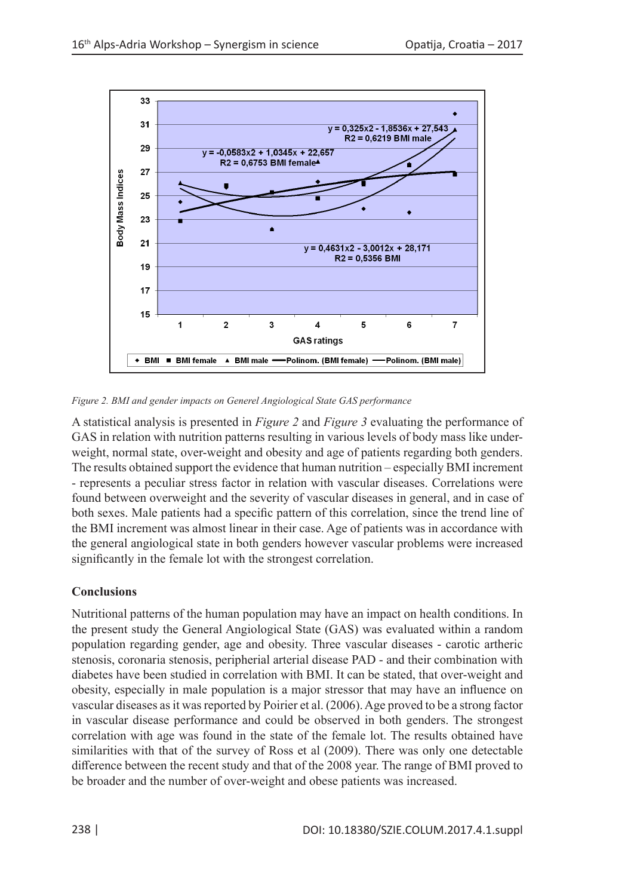

*Figure 2. BMI and gender impacts on Generel Angiological State GAS performance*

A statistical analysis is presented in *Figure 2* and *Figure 3* evaluating the performance of GAS in relation with nutrition patterns resulting in various levels of body mass like underweight, normal state, over-weight and obesity and age of patients regarding both genders. The results obtained support the evidence that human nutrition – especially BMI increment - represents a peculiar stress factor in relation with vascular diseases. Correlations were found between overweight and the severity of vascular diseases in general, and in case of both sexes. Male patients had a specific pattern of this correlation, since the trend line of the BMI increment was almost linear in their case. Age of patients was in accordance with the general angiological state in both genders however vascular problems were increased significantly in the female lot with the strongest correlation.

# **Conclusions**

Nutritional patterns of the human population may have an impact on health conditions. In the present study the General Angiological State (GAS) was evaluated within a random population regarding gender, age and obesity. Three vascular diseases - carotic artheric stenosis, coronaria stenosis, peripherial arterial disease PAD - and their combination with diabetes have been studied in correlation with BMI. It can be stated, that over-weight and obesity, especially in male population is a major stressor that may have an influence on vascular diseases as it was reported by Poirier et al. (2006). Age proved to be a strong factor in vascular disease performance and could be observed in both genders. The strongest correlation with age was found in the state of the female lot. The results obtained have similarities with that of the survey of Ross et al (2009). There was only one detectable difference between the recent study and that of the 2008 year. The range of BMI proved to be broader and the number of over-weight and obese patients was increased.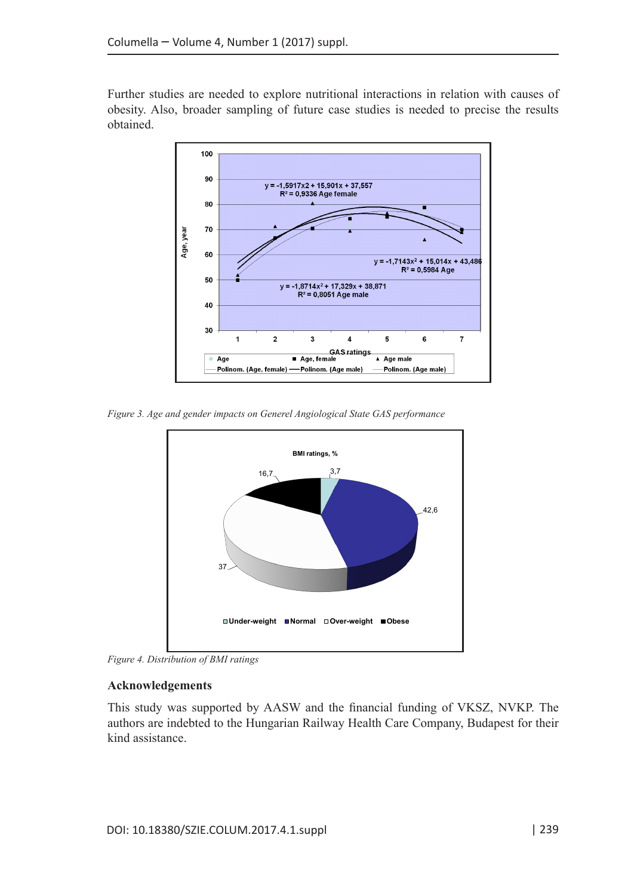Further studies are needed to explore nutritional interactions in relation with causes of obesity. Also, broader sampling of future case studies is needed to precise the results obtained.



*Figure 3. Age and gender impacts on Generel Angiological State GAS performance*



*Figure 4. Distribution of BMI ratings*

### **Acknowledgements**

This study was supported by AASW and the financial funding of VKSZ, NVKP. The authors are indebted to the Hungarian Railway Health Care Company, Budapest for their kind assistance.